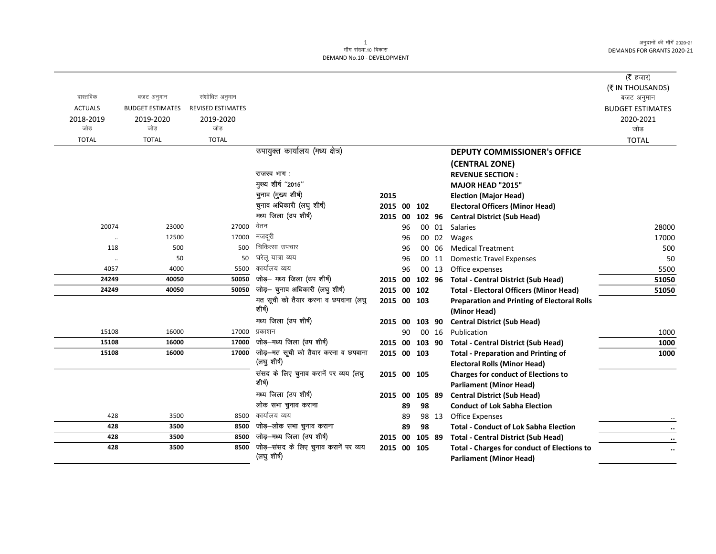<u>. .</u>

|                      |                         |                          |                                       |                |    |    |        |                                                    | (रै हजार)               |
|----------------------|-------------------------|--------------------------|---------------------------------------|----------------|----|----|--------|----------------------------------------------------|-------------------------|
|                      |                         |                          |                                       |                |    |    |        |                                                    | (₹ IN THOUSANDS)        |
| वास्तविक             | बजट अनुमान              | संशोधित अनुमान           |                                       |                |    |    |        |                                                    | बजट अनुमान              |
| <b>ACTUALS</b>       | <b>BUDGET ESTIMATES</b> | <b>REVISED ESTIMATES</b> |                                       |                |    |    |        |                                                    | <b>BUDGET ESTIMATES</b> |
| 2018-2019            | 2019-2020               | 2019-2020                |                                       |                |    |    |        |                                                    | 2020-2021               |
| जोड                  | जोड                     | जोड                      |                                       |                |    |    |        |                                                    | जोड़                    |
| <b>TOTAL</b>         | <b>TOTAL</b>            | <b>TOTAL</b>             |                                       |                |    |    |        |                                                    | <b>TOTAL</b>            |
|                      |                         |                          | उपायुक्त कार्यालय (मध्य क्षेत्र)      |                |    |    |        | <b>DEPUTY COMMISSIONER's OFFICE</b>                |                         |
|                      |                         |                          |                                       |                |    |    |        | (CENTRAL ZONE)                                     |                         |
|                      |                         |                          | राजस्व भाग:                           |                |    |    |        | <b>REVENUE SECTION:</b>                            |                         |
|                      |                         |                          | मुख्य शीर्ष "2015"                    |                |    |    |        | MAJOR HEAD "2015"                                  |                         |
|                      |                         |                          | चुनाव (मुख्य शीर्ष)                   | 2015           |    |    |        | <b>Election (Major Head)</b>                       |                         |
|                      |                         |                          | चुनाव अधिकारी (लघु शीर्ष)             | 2015 00 102    |    |    |        | <b>Electoral Officers (Minor Head)</b>             |                         |
|                      |                         |                          | मध्य जिला (उप शीर्ष)                  | 2015 00        |    |    | 102 96 | <b>Central District (Sub Head)</b>                 |                         |
| 20074                | 23000                   | 27000                    | वेतन                                  |                | 96 |    | 00 01  | <b>Salaries</b>                                    | 28000                   |
| $\ddot{\phantom{0}}$ | 12500                   | 17000                    | मजदरी                                 |                | 96 |    | 00 02  | Wages                                              | 17000                   |
| 118                  | 500                     | 500                      | चिकित्सा उपचार                        |                | 96 |    | 00 06  | <b>Medical Treatment</b>                           | 500                     |
| $\ddotsc$            | 50                      | 50                       | घरेलू यात्रा व्यय                     |                | 96 |    | 00 11  | <b>Domestic Travel Expenses</b>                    | 50                      |
| 4057                 | 4000                    | 5500                     | कार्यालय व्यय                         |                | 96 |    |        | 00 13 Office expenses                              | 5500                    |
| 24249                | 40050                   | 50050                    | जोड़- मध्य जिला (उप शीर्ष)            |                |    |    |        | 2015 00 102 96 Total - Central District (Sub Head) | 51050                   |
| 24249                | 40050                   | 50050                    | जोड़- चुनाव अधिकारी (लघु शीर्ष)       | 2015 00 102    |    |    |        | <b>Total - Electoral Officers (Minor Head)</b>     | 51050                   |
|                      |                         |                          | मत सूची को तैयार करना व छपवाना (लघु   | 2015 00 103    |    |    |        | <b>Preparation and Printing of Electoral Rolls</b> |                         |
|                      |                         |                          | शीर्ष)                                |                |    |    |        | (Minor Head)                                       |                         |
|                      |                         |                          | मध्य जिला (उप शीर्ष)                  | 2015 00 103 90 |    |    |        | <b>Central District (Sub Head)</b>                 |                         |
| 15108                | 16000                   | 17000                    | प्रकाशन                               |                | 90 |    | 00 16  | Publication                                        | 1000                    |
| 15108                | 16000                   | 17000                    | जोड़-मध्य जिला (उप शीर्ष)             |                |    |    |        | 2015 00 103 90 Total - Central District (Sub Head) | 1000                    |
| 15108                | 16000                   | 17000                    | जोड़-मत सूची को तैयार करना व छपवाना   | 2015 00 103    |    |    |        | <b>Total - Preparation and Printing of</b>         | 1000                    |
|                      |                         |                          | (लघु शीर्ष)                           |                |    |    |        | <b>Electoral Rolls (Minor Head)</b>                |                         |
|                      |                         |                          | संसद के लिए चुनाव करानें पर व्यय (लघु | 2015 00 105    |    |    |        | <b>Charges for conduct of Elections to</b>         |                         |
|                      |                         |                          | शीर्ष)                                |                |    |    |        | <b>Parliament (Minor Head)</b>                     |                         |
|                      |                         |                          | मध्य जिला (उप शीर्ष)                  | 2015 00        |    |    | 105 89 | <b>Central District (Sub Head)</b>                 |                         |
|                      |                         |                          | लोक सभा चुनाव कराना                   |                | 89 | 98 |        | <b>Conduct of Lok Sabha Election</b>               |                         |
| 428                  | 3500                    | 8500                     | कार्यालय व्यय                         |                | 89 |    |        | 98 13 Office Expenses                              |                         |
| 428                  | 3500                    | 8500                     | जोड़-लोक सभा चुनाव कराना              |                | 89 | 98 |        | <b>Total - Conduct of Lok Sabha Election</b>       | $\ddot{\phantom{0}}$    |
| 428                  | 3500                    | 8500                     | जोड़-मध्य जिला (उप शीर्ष)             | 2015 00        |    |    | 105 89 | <b>Total - Central District (Sub Head)</b>         | $\cdot\cdot$            |
| 428                  | 3500                    | 8500                     | जोड़-संसद के लिए चुनाव करानें पर व्यय | 2015 00 105    |    |    |        | <b>Total - Charges for conduct of Elections to</b> | $\ddotsc$               |
|                      |                         |                          | (लघु शीर्ष)                           |                |    |    |        | <b>Parliament (Minor Head)</b>                     |                         |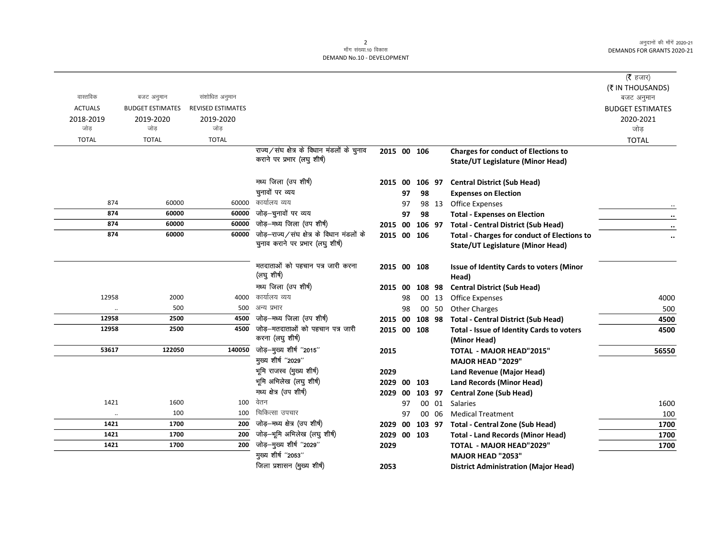$\overline{\phantom{0}}$ 

## 2<br>माँग संख्या.10 विकास DEMAND No.10 - DEVELOPMENT

|                              |                         |                          |                                            |             |    |        |       |                                                             | (रै हजार)<br>(₹ IN THOUSANDS) |
|------------------------------|-------------------------|--------------------------|--------------------------------------------|-------------|----|--------|-------|-------------------------------------------------------------|-------------------------------|
| वास्तविक                     | बजट अनुमान              | संशोधित अनुमान           |                                            |             |    |        |       |                                                             | बजट अनुमान                    |
| <b>ACTUALS</b>               | <b>BUDGET ESTIMATES</b> | <b>REVISED ESTIMATES</b> |                                            |             |    |        |       |                                                             | <b>BUDGET ESTIMATES</b>       |
| 2018-2019                    | 2019-2020               | 2019-2020                |                                            |             |    |        |       |                                                             | 2020-2021                     |
| जोड                          | जोड                     | जोड                      |                                            |             |    |        |       |                                                             | जोड़                          |
| <b>TOTAL</b>                 | <b>TOTAL</b>            | <b>TOTAL</b>             |                                            |             |    |        |       |                                                             | <b>TOTAL</b>                  |
|                              |                         |                          | राज्य/संघ क्षेत्र के विधान मंडलों के चुनाव | 2015 00 106 |    |        |       | <b>Charges for conduct of Elections to</b>                  |                               |
|                              |                         |                          | कराने पर प्रभार (लघु शीर्ष)                |             |    |        |       | <b>State/UT Legislature (Minor Head)</b>                    |                               |
|                              |                         |                          | मध्य जिला (उप शीर्ष)                       | 2015 00     |    | 106 97 |       | <b>Central District (Sub Head)</b>                          |                               |
|                              |                         |                          | चुनावों पर व्यय                            |             | 97 | 98     |       | <b>Expenses on Election</b>                                 |                               |
| 874                          | 60000                   | 60000                    | कार्यालय व्यय                              |             | 97 |        | 98 13 | <b>Office Expenses</b>                                      |                               |
| 874                          | 60000                   | 60000                    | जोड़-चुनावों पर व्यय                       |             | 97 | 98     |       | <b>Total - Expenses on Election</b>                         | $\ddot{\phantom{a}}$          |
| 874                          | 60000                   | 60000                    | जोड़-मध्य जिला (उप शीर्ष)                  | 2015 00     |    | 106 97 |       | <b>Total - Central District (Sub Head)</b>                  | $\ddot{\phantom{0}}$          |
| 874                          | 60000                   | 60000                    | जोड़-राज्य/संघ क्षेत्र के विधान मंडलों के  | 2015 00 106 |    |        |       | <b>Total - Charges for conduct of Elections to</b>          | $\ddot{\phantom{0}}$          |
|                              |                         |                          | चुनाव कराने पर प्रभार (लघु शीर्ष)          |             |    |        |       | <b>State/UT Legislature (Minor Head)</b>                    |                               |
|                              |                         |                          | मतदाताओं को पहचान पत्र जारी करना           | 2015 00 108 |    |        |       | Issue of Identity Cards to voters (Minor                    |                               |
|                              |                         |                          | (लघु शीर्ष)                                |             |    |        |       | Head)                                                       |                               |
|                              |                         |                          | मध्य जिला (उप शीर्ष)                       | 2015 00     |    | 108 98 |       | <b>Central District (Sub Head)</b>                          |                               |
| 12958                        | 2000                    | 4000                     | कार्यालय व्यय                              |             | 98 |        | 00 13 | <b>Office Expenses</b>                                      | 4000                          |
| $\ddot{\phantom{a}}$         | 500                     | 500                      | अन्य प्रभार                                |             | 98 |        | 00 50 | <b>Other Charges</b>                                        | 500                           |
| 12958                        | 2500                    | 4500                     | जोड़-मध्य जिला (उप शीर्ष)                  | 2015 00     |    | 108 98 |       | <b>Total - Central District (Sub Head)</b>                  | 4500                          |
| 12958                        | 2500                    | 4500                     | जोड़-मतदाताओं को पहचान पत्र जारी           | 2015 00 108 |    |        |       | Total - Issue of Identity Cards to voters                   | 4500                          |
|                              |                         |                          | करना (लघु शीर्ष)                           |             |    |        |       | (Minor Head)                                                |                               |
| 53617                        | 122050                  | 140050                   | जोड़-मुख्य शीर्ष "2015"                    | 2015        |    |        |       | TOTAL - MAJOR HEAD"2015"                                    | 56550                         |
|                              |                         |                          | मुख्य शीर्ष "2029"                         |             |    |        |       | <b>MAJOR HEAD "2029"</b>                                    |                               |
|                              |                         |                          | भूमि राजस्व (मुख्य शीर्ष)                  | 2029        |    |        |       | Land Revenue (Major Head)                                   |                               |
|                              |                         |                          | भूमि अभिलेख (लघु शीर्ष)                    | 2029        | 00 | 103    |       | <b>Land Records (Minor Head)</b>                            |                               |
|                              |                         |                          | मध्य क्षेत्र (उप शीर्ष)                    | 2029 00     |    | 103 97 |       | <b>Central Zone (Sub Head)</b>                              |                               |
| 1421                         | 1600                    | 100                      | वेतन<br>चिकित्सा उपचार                     |             | 97 |        | 00 01 | Salaries                                                    | 1600                          |
| $\ddot{\phantom{a}}$<br>1421 | 100                     | 100                      | जोड़-मध्य क्षेत्र (उप शीर्ष)               |             | 97 |        | 00 06 | <b>Medical Treatment</b>                                    | 100                           |
|                              | 1700                    | 200                      | जोड़-भूमि अभिलेख (लघु शीर्ष)               | 2029 00     |    | 103 97 |       | <b>Total - Central Zone (Sub Head)</b>                      | 1700                          |
| 1421<br>1421                 | 1700<br>1700            | 200<br>200               | जोड़-मुख्य शीर्ष "2029"                    | 2029 00 103 |    |        |       | <b>Total - Land Records (Minor Head)</b>                    | 1700                          |
|                              |                         |                          | मुख्य शीर्ष "2053"                         | 2029        |    |        |       | <b>TOTAL - MAJOR HEAD"2029"</b><br><b>MAJOR HEAD "2053"</b> | 1700                          |
|                              |                         |                          | जिला प्रशासन (मुख्य शीर्ष)                 |             |    |        |       |                                                             |                               |
|                              |                         |                          |                                            | 2053        |    |        |       | <b>District Administration (Major Head)</b>                 |                               |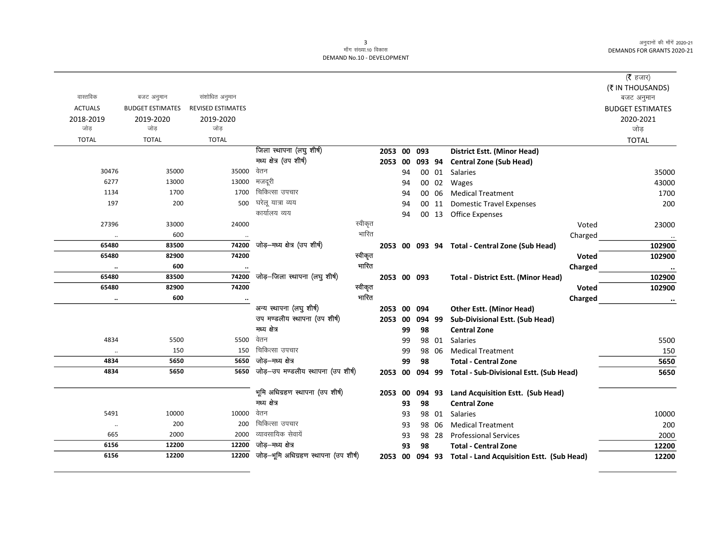## 3<br>माँग संख्या.10 विकास DEMAND No.10 - DEVELOPMENT

|                | बजट अनुमान              |                   |                                       |         |             |    |        |       |                                                  |              | ( $\bar{\tau}$ हजार)    |
|----------------|-------------------------|-------------------|---------------------------------------|---------|-------------|----|--------|-------|--------------------------------------------------|--------------|-------------------------|
|                |                         |                   |                                       |         |             |    |        |       |                                                  |              |                         |
|                |                         |                   |                                       |         |             |    |        |       |                                                  |              | (₹ IN THOUSANDS)        |
| वास्तविक       |                         | संशोधित अनुमान    |                                       |         |             |    |        |       |                                                  |              | बजट अनुमान              |
| <b>ACTUALS</b> | <b>BUDGET ESTIMATES</b> | REVISED ESTIMATES |                                       |         |             |    |        |       |                                                  |              | <b>BUDGET ESTIMATES</b> |
| 2018-2019      | 2019-2020               | 2019-2020         |                                       |         |             |    |        |       |                                                  |              | 2020-2021               |
| जोड़           | जोड़                    | जोड़              |                                       |         |             |    |        |       |                                                  |              | जोड़                    |
| <b>TOTAL</b>   | <b>TOTAL</b>            | <b>TOTAL</b>      |                                       |         |             |    |        |       |                                                  |              | <b>TOTAL</b>            |
|                |                         |                   | जिला स्थापना (लघु शीर्ष)              |         | 2053 00     |    | 093    |       | <b>District Estt. (Minor Head)</b>               |              |                         |
|                |                         |                   | मध्य क्षेत्र (उप शीर्ष)               |         | 2053        | 00 | 093 94 |       | <b>Central Zone (Sub Head)</b>                   |              |                         |
| 30476          | 35000                   | 35000             | वेतन                                  |         |             | 94 |        |       | 00 01 Salaries                                   |              | 35000                   |
| 6277           | 13000                   | 13000             | मजदूरी                                |         |             | 94 |        | 00 02 | <b>Wages</b>                                     |              | 43000                   |
| 1134           | 1700                    | 1700              | चिकित्सा उपचार                        |         |             | 94 |        | 00 06 | <b>Medical Treatment</b>                         |              | 1700                    |
| 197            | 200                     | 500               | घरेलू यात्रा व्यय                     |         |             | 94 |        | 00 11 | <b>Domestic Travel Expenses</b>                  |              | 200                     |
|                |                         |                   | कार्यालय व्यय                         |         |             | 94 |        |       | 00 13 Office Expenses                            |              |                         |
| 27396          | 33000                   | 24000             |                                       | स्वीकृत |             |    |        |       |                                                  | Voted        | 23000                   |
| $\ldots$       | 600                     |                   |                                       | भारित   |             |    |        |       |                                                  | Charged      | $\cdots$                |
| 65480          | 83500                   | 74200             | जोड़-मध्य क्षेत्र (उप शीर्ष)          |         |             |    |        |       | 2053 00 093 94 Total - Central Zone (Sub Head)   |              | 102900                  |
| 65480          | 82900                   | 74200             |                                       | स्वीकृत |             |    |        |       |                                                  | <b>Voted</b> | 102900                  |
| $\ddotsc$      | 600                     | $\cdot\cdot$      |                                       | भारित   |             |    |        |       |                                                  | Charged      | $\cdot\cdot$            |
| 65480          | 83500                   | 74200             | जोड़-जिला स्थापना (लघु शीर्ष)         |         | 2053 00 093 |    |        |       | <b>Total - District Estt. (Minor Head)</b>       |              | 102900                  |
| 65480          | 82900                   | 74200             |                                       | स्वीकृत |             |    |        |       |                                                  | Voted        | 102900                  |
| $\ldots$       | 600                     | $\cdot$           |                                       | भारित   |             |    |        |       |                                                  | Charged      | $\ddotsc$               |
|                |                         |                   | अन्य स्थापना (लघु शीर्ष)              |         | 2053        | 00 | 094    |       | <b>Other Estt. (Minor Head)</b>                  |              |                         |
|                |                         |                   | उप मण्डलीय स्थापना (उप शीर्ष)         |         | 2053        | 00 | 094 99 |       | Sub-Divisional Estt. (Sub Head)                  |              |                         |
|                |                         |                   | गध्य क्षेत्र                          |         |             | 99 | 98     |       | <b>Central Zone</b>                              |              |                         |
| 4834           | 5500                    | 5500              | वेतन                                  |         |             | 99 |        | 98 01 | Salaries                                         |              | 5500                    |
| $\cdot$ .      | 150                     | 150               | चिकित्सा उपचार                        |         |             | 99 |        | 98 06 | <b>Medical Treatment</b>                         |              | 150                     |
| 4834           | 5650                    | 5650              | जोड–मध्य क्षेत्र                      |         |             | 99 | 98     |       | <b>Total - Central Zone</b>                      |              | 5650                    |
| 4834           | 5650                    | 5650              | जोड़-उप मण्डलीय स्थापना (उप शीर्ष)    |         | 2053        | 00 | 094 99 |       | Total - Sub-Divisional Estt. (Sub Head)          |              | 5650                    |
|                |                         |                   |                                       |         |             |    |        |       |                                                  |              |                         |
|                |                         |                   | भूमि अधिग्रहण स्थापना (उप शीर्ष)      |         | 2053        | 00 | 094 93 |       | Land Acquisition Estt. (Sub Head)                |              |                         |
|                |                         |                   | गध्य क्षेत्र                          |         |             | 93 | 98     |       | <b>Central Zone</b>                              |              |                         |
| 5491           | 10000                   | 10000             | वेतन                                  |         |             | 93 |        | 98 01 | Salaries                                         |              | 10000                   |
| $\ddotsc$      | 200                     | 200               | चिकित्सा उपचार                        |         |             | 93 |        | 98 06 | <b>Medical Treatment</b>                         |              | 200                     |
| 665            | 2000                    | 2000              | व्यावसायिक सेवायें                    |         |             | 93 |        | 98 28 | <b>Professional Services</b>                     |              | 2000                    |
| 6156           | 12200                   | 12200             | जोड़–मध्य क्षेत्र                     |         |             | 93 | 98     |       | <b>Total - Central Zone</b>                      |              | 12200                   |
| 6156           | 12200                   | 12200             | जोड़-भूमि अधिग्रहण स्थापना (उप शीर्ष) |         | 2053 00     |    | 094 93 |       | <b>Total - Land Acquisition Estt. (Sub Head)</b> |              | 12200                   |